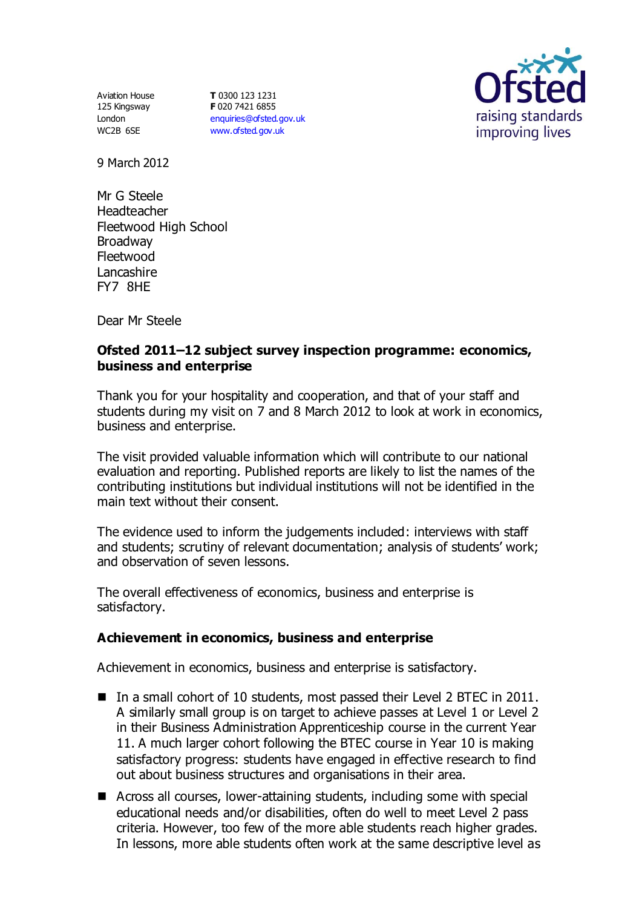Aviation House 125 Kingsway London WC2B 6SE

**T** 0300 123 1231 **F** 020 7421 6855 [enquiries@ofsted.gov.uk](mailto:enquiries@ofsted.gov.uk) [www.ofsted.gov.uk](http://www.ofsted.gov.uk/)



9 March 2012

Mr G Steele Headteacher Fleetwood High School Broadway Fleetwood **Lancashire** FY7 8HE

Dear Mr Steele

# **Ofsted 2011–12 subject survey inspection programme: economics, business and enterprise**

Thank you for your hospitality and cooperation, and that of your staff and students during my visit on 7 and 8 March 2012 to look at work in economics, business and enterprise.

The visit provided valuable information which will contribute to our national evaluation and reporting. Published reports are likely to list the names of the contributing institutions but individual institutions will not be identified in the main text without their consent.

The evidence used to inform the judgements included: interviews with staff and students; scrutiny of relevant documentation; analysis of students' work; and observation of seven lessons.

The overall effectiveness of economics, business and enterprise is satisfactory.

# **Achievement in economics, business and enterprise**

Achievement in economics, business and enterprise is satisfactory.

- In a small cohort of 10 students, most passed their Level 2 BTEC in 2011. A similarly small group is on target to achieve passes at Level 1 or Level 2 in their Business Administration Apprenticeship course in the current Year 11. A much larger cohort following the BTEC course in Year 10 is making satisfactory progress: students have engaged in effective research to find out about business structures and organisations in their area.
- Across all courses, lower-attaining students, including some with special educational needs and/or disabilities, often do well to meet Level 2 pass criteria. However, too few of the more able students reach higher grades. In lessons, more able students often work at the same descriptive level as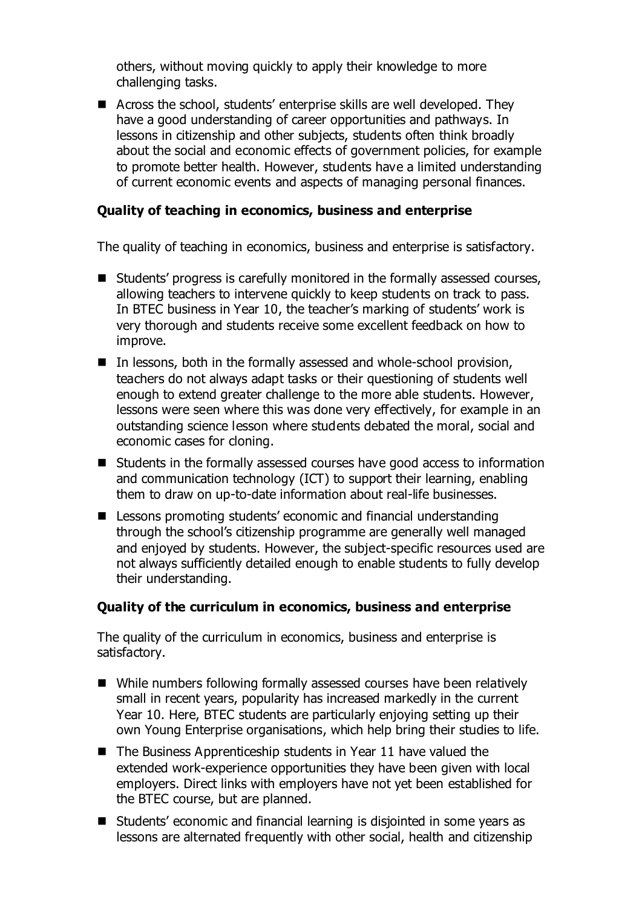others, without moving quickly to apply their knowledge to more challenging tasks.

■ Across the school, students' enterprise skills are well developed. They have a good understanding of career opportunities and pathways. In lessons in citizenship and other subjects, students often think broadly about the social and economic effects of government policies, for example to promote better health. However, students have a limited understanding of current economic events and aspects of managing personal finances.

# **Quality of teaching in economics, business and enterprise**

The quality of teaching in economics, business and enterprise is satisfactory.

- Students' progress is carefully monitored in the formally assessed courses, allowing teachers to intervene quickly to keep students on track to pass. In BTEC business in Year 10, the teacher's marking of students' work is very thorough and students receive some excellent feedback on how to improve.
- $\blacksquare$  In lessons, both in the formally assessed and whole-school provision, teachers do not always adapt tasks or their questioning of students well enough to extend greater challenge to the more able students. However, lessons were seen where this was done very effectively, for example in an outstanding science lesson where students debated the moral, social and economic cases for cloning.
- Students in the formally assessed courses have good access to information and communication technology (ICT) to support their learning, enabling them to draw on up-to-date information about real-life businesses.
- Lessons promoting students' economic and financial understanding through the school's citizenship programme are generally well managed and enjoyed by students. However, the subject-specific resources used are not always sufficiently detailed enough to enable students to fully develop their understanding.

#### **Quality of the curriculum in economics, business and enterprise**

The quality of the curriculum in economics, business and enterprise is satisfactory.

- While numbers following formally assessed courses have been relatively small in recent years, popularity has increased markedly in the current Year 10. Here, BTEC students are particularly enjoying setting up their own Young Enterprise organisations, which help bring their studies to life.
- $\blacksquare$  The Business Apprenticeship students in Year 11 have valued the extended work-experience opportunities they have been given with local employers. Direct links with employers have not yet been established for the BTEC course, but are planned.
- Students' economic and financial learning is disjointed in some years as lessons are alternated frequently with other social, health and citizenship